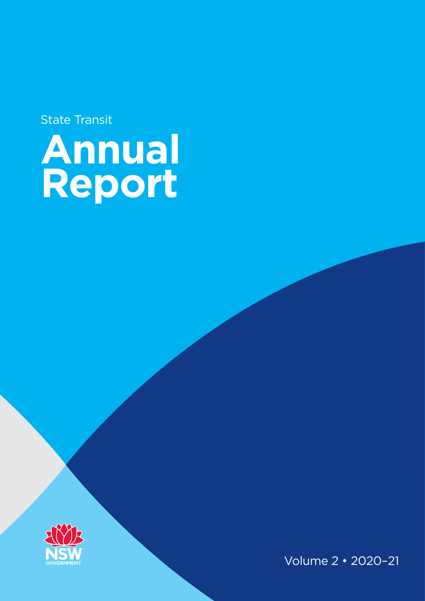State Transit

# **Annual Report**



Volume 2 • 2020–21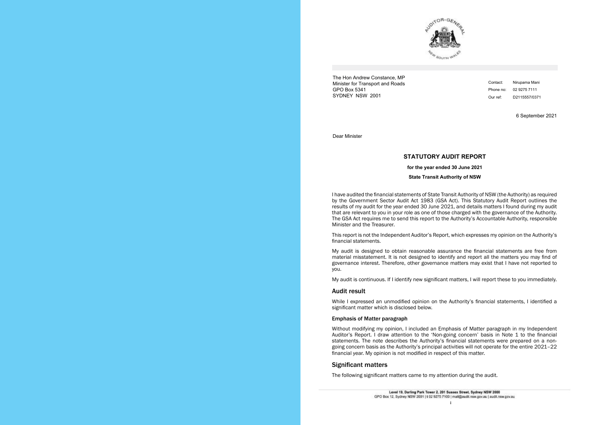

The Hon Andrew Constance, MP Minister for Transport and Roads GPO Box 5341 SYDNEY NSW 2001

6 September 2021

Dear Minister

# **STATUTORY AUDIT REPORT**

**for the year ended 30 June 2021**

**State Transit Authority of NSW**

I have audited the financial statements of State Transit Authority of NSW (the Authority) as required by by the Government Sector Audit Act 1983 (GSA Act). This Statutory Audit Report outlines the the *Government Sector Audit Act 1983* (GSA Act). This Statutory Audit Report outlines the results of results of my audit for the year ended 30 June 2021, and details matters I found during my audit my audit for the year ended 30 June 2021, and details matters I found during my audit that are that are relevant to you in your role as one of those charged with the governance of the Authority. relevant to you in your role as one of those charged with the governance of the Authority. The GSA The GSA Act requires me to send this report to the Authority's Accountable Authority, responsible Minister and the Treasurers Minister and the Treasurer. I have audited the financial statements of State Transit Authority of NSW (the Authority) as required

My audit is designed to obtain reasonable assurance the financial statements are free from material misstatement. It is not designed to identify and report all the matters you may find of governance interest. Therefore, other governance matters may exist that I have not reported to you.

While I expressed an unmodified opinion on the Authority's financial statements, I identified a **Emphasis of Matter paragraph** significant matter which is disclosed below.

# Emphasis of Matter paragraph in my Independent my Independent my Independent of the paragraph in my Independent of the United States of Matter paragraph in my Independent of the United States of the United States of the Un

This report is not the Independent Auditor's Report, which expresses my opinion on the Authority's This report is not the Independent Auditor's Report, which expresses my opinion on the Authority's financial statements. financial statements.

Without modifying my opinion, I included an Emphasis of Matter paragraph in my Independent Auditor's Report. I draw attention to the 'Non-going concern' basis in Note 1 to the financial statements. The note describes the Authority's financial statements were prepared on a nongoing concern basis as the Authority's principal activities will not operate for the entire 2021-22 **Significant matters** financial year. My opinion is not modified in respect of this matter.

# Significant matters came to my attention during the audit of the audit of the audit.

Contact: Nirupama Mani Phone no: 02 9275 7111 Our ref: D2115557/0371

i



My audit is continuous. If I identify new significant matters, I will report these to you immediately. My audit is continuous. If I identify new significant matters, I will report these to you immediately.

## **Audit result**  $W(x, y) = W(x, y)$  is finally statements,  $W(x, y) = W(x, y)$  is finally statements, I is in the Authority's financial statements, I is in the Authority's financial statements, I is in the Authority's financial statements, I is in t Audit result

The following significant matters came to my attention during the audit.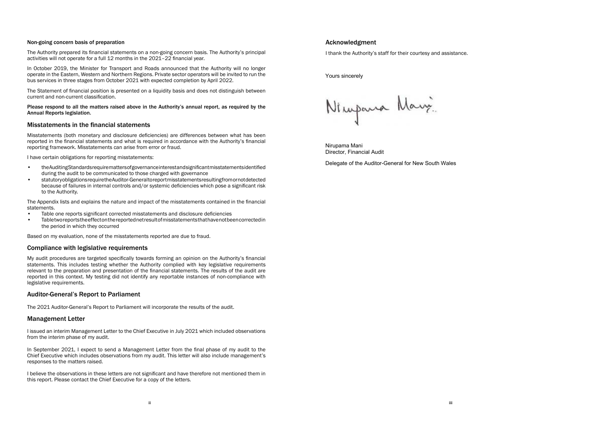Yours sincerely

Ningana Mary

Nirupama Mani Director, Financial Audit

Delegate of the Auditor-General for New South Wales

# Non-going concern basis of preparation

The Authority prepared its financial statements on a non-going concern basis. The Authority's principal activities will not operate for a full 12 months in the 2021–22 financial year.

In October 2019, the Minister for Transport and Roads announced that the Authority will no longer operate in the Eastern, Western and Northern Regions. Private sector operators will be invited to run the bus services in three stages from October 2021 with expected completion by April 2022.

The Statement of financial position is presented on a liquidity basis and does not distinguish between current and non-current classification.

Please respond to all the matters raised above in the Authority's annual report, as required by the Annual Reports legislation.

# Misstatements in the financial statements

Misstatements (both monetary and disclosure deficiencies) are differences between what has been reported in the financial statements and what is required in accordance with the Authority's financial reporting framework. Misstatements can arise from error or fraud.

I have certain obligations for reporting misstatements:

- the Auditing Standards require matters of governance interest and significant misstatements identified during the audit to be communicated to those charged with governance
- statutory obligations require the Auditor-General to report misstatements resulting from or not detected because of failures in internal controls and/or systemic deficiencies which pose a significant risk to the Authority.

# **Acknowledgment** Acknowledgment

I thank the Authority's staff for their courtesy and assistance. I thank the Authority's staff for their courtesy and assistance.

The Appendix lists and explains the nature and impact of the misstatements contained in the financial statements.

- Table one reports significant corrected misstatements and disclosure deficiencies
- Table two reports the effect on the reported net result of misstatements that have not been corrected in the period in which they occurred

Based on my evaluation, none of the misstatements reported are due to fraud.

# Compliance with legislative requirements

My audit procedures are targeted specifically towards forming an opinion on the Authority's financial statements. This includes testing whether the Authority complied with key legislative requirements relevant to the preparation and presentation of the financial statements. The results of the audit are reported in this context. My testing did not identify any reportable instances of non-compliance with legislative requirements.

# Auditor-General's Report to Parliament

The 2021 Auditor-General's Report to Parliament will incorporate the results of the audit.

# Management Letter

I issued an interim Management Letter to the Chief Executive in July 2021 which included observations from the interim phase of my audit.

In September 2021, I expect to send a Management Letter from the final phase of my audit to the Chief Executive which includes observations from my audit. This letter will also include management's responses to the matters raised.

I believe the observations in these letters are not significant and have therefore not mentioned them in this report. Please contact the Chief Executive for a copy of the letters.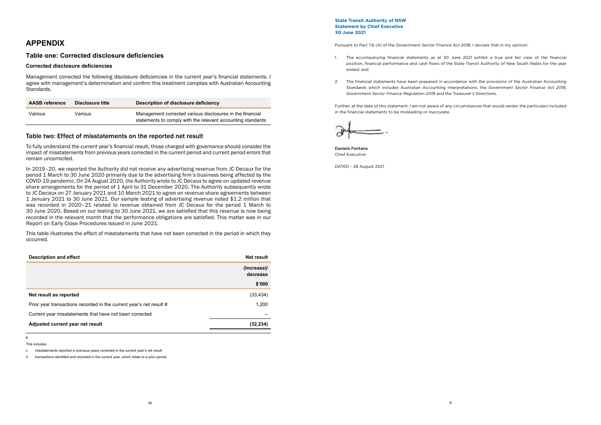**State Transit Authority of NSW Statement by Chief Executive 30 June 2021**

Pursuant to Part 7.6 (4) of the *Government Sector Finance Act 2018*, I declare that in my opinion:

1. The accompanying financial statements as at 30 June 2021 exhibit a true and fair view of the financial position, financial performance and cash flows of the State Transit Authority of New South Wales for the year

Management corrected the following disclosure deficiencies in the current year's financial statements. Management corrected the following disclosure deficiencies in the current year's financial statements. I agree with management's determination and confirm this treatment complies with Australian Accounting Standards.

- ended; and
- 2. The financial statements have been prepared in accordance with the provisions of the Australian Accounting *Government Sector Finance Regulation 2018* and the Treasurer's Directions.

Standards which includes Australian Accounting Interpretations, the *Government Sector Finance Act 2018*,

To fully understand the current year's financial result, those charged with governance should consider To fully understand the current year's financial result, those charged with governance should consider the impact of misstatements from previous years corrected in the current period and current period errors that remain uncorrected.

Further, at the date of this statement, I am not aware of any circumstances that would render the particulars included in the financial statements to be misleading or inaccurate.



Daniela Fontana Chief Executive

DATED - 26 August 2021

# **APPENDIX**

# **Table one: Corrected disclosure deficiencies**

# **Corrected disclosure deficiencies**

| <b>AASB</b> reference | Disclosure title | Description of disclosure deficiency                                                                                     |
|-----------------------|------------------|--------------------------------------------------------------------------------------------------------------------------|
| Various               | Various          | Management corrected various disclosures in the financial<br>statements to comply with the relevant accounting standards |

 $\frac{1}{\sqrt{2}}$  occurred This table illustrates the effect of misstatements that have not been corrected in the period in which they occurred.

# **Table two: Effect of misstatements on the reported net result** Table two: Effect of misstatements on the reported net result

| <b>Description and effect</b>                                       | <b>Net result</b>       |
|---------------------------------------------------------------------|-------------------------|
|                                                                     | (Increase)/<br>decrease |
|                                                                     | \$'000                  |
| Net result as reported                                              | (33, 434)               |
| Prior year transactions recorded in the current year's net result # | 1,200                   |
| Current year misstatements that have not been corrected             |                         |
| Adjusted current year net result                                    | (32, 234)               |

In 2019–20, we reported the Authority did not receive any advertising revenue from JC Decaux for the In 2019–20, we reported the Authority did not receive any advertising revenue from JC Decaux for the period 1 March to 30 June 2020 primarily due to the advertising firm's business being affected by the period 1 March to 30 June 2020 primarily due to the advertising firm's business being affected by the COVID-19 pandemic. On 24 August 2020, the Authority wrote to JC Decaux to agree on updated COVID-19 pandemic. On 24 August 2020, the Authority wrote to JC Decaux to agree on updated revenue share arrangements for the period of 1 April to 31 December 2020. The Authority subsequently wrote to JC Decaux on 27 January 2021 and 10 March 2021 to agree on revenue share agreements between 1 January 2021 to 30 June 2021. Our sample testing of advertising revenue noted \$1.2 million that was recorded in 2020–21 related to revenue obtained from JC Decaux for the period 1 March to for the period 1 March 1 March 1 March 1 March 2021, we are satisfied that this revenue is now be.<br>The period in the relevant menth that the performance obligations are satisfied. This matter was in a recorded in the relevant month that the performance obligations are satisfied. This matter was in our records Report on Early Close Procedures issued in June 2021. 30 June 2020. Based on our testing to 30 June 2021, we are satisfied that this revenue is now being

# This includes:

c misstatements reported in previous years corrected in the current year's net result

d transactions identified and recorded in the current year, which relate to a prior period.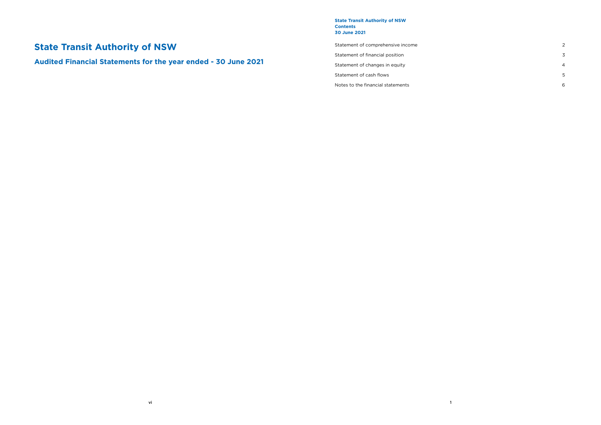# **State Transit Authority of NSW**

**Audited Financial Statements for the year ended - 30 June 2021**

1

**State Transit Authority of NSW Contents 30 June 2021**

Statement of comprehensive income 2

Statement of financial position 3

Statement of changes in equity 4

Statement of cash flows 5

Notes to the financial statements 6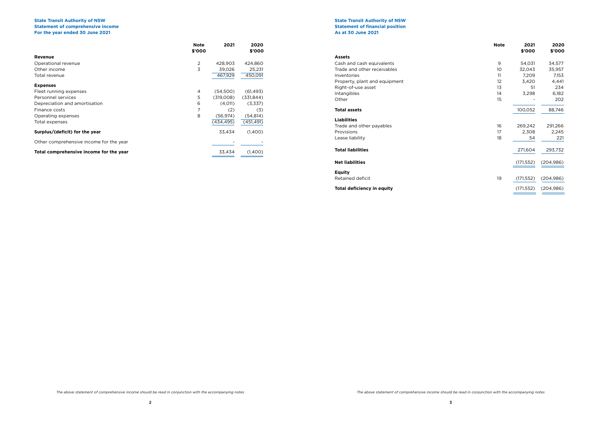|                                         | <b>Note</b><br>\$'000 | 2021      | 2020<br>\$'000 |
|-----------------------------------------|-----------------------|-----------|----------------|
| <b>Revenue</b>                          |                       |           |                |
| Operational revenue                     | 2                     | 428,903   | 424,860        |
| Other income                            | 3                     | 39,026    | 25,231         |
| Total revenue                           |                       | 467,929   | 450,091        |
| <b>Expenses</b>                         |                       |           |                |
| Fleet running expenses                  | 4                     | (54,500)  | (61, 493)      |
| Personnel services                      | 5                     | (319,008) | (331, 844)     |
| Depreciation and amortisation           | 6                     | (4,011)   | (3,337)        |
| Finance costs                           |                       | (2)       | (3)            |
| Operating expenses                      | 8                     | (56,974)  | (54, 814)      |
| Total expenses                          |                       | (434.495) | (451, 491)     |
| Surplus/(deficit) for the year          |                       | 33,434    | (1,400)        |
| Other comprehensive income for the year |                       |           |                |
| Total comprehensive income for the year |                       | 33,434    | (1,400)        |

# **State Transit Authority of NSW Statement of comprehensive income For the year ended 30 June 2021**

| <b>Assets</b>                 |                 |         |         |
|-------------------------------|-----------------|---------|---------|
| Cash and cash equivalents     | 9               | 54,031  | 34,577  |
| Trade and other receivables   | 10 <sup>°</sup> | 32,043  | 35,957  |
| <b>Inventories</b>            | 11              | 7.209   | 7,153   |
| Property, plant and equipment | 12              | 3,420   | 4,441   |
| Right-of-use asset            | 13              | 51      | 234     |
| Intangibles                   | 14              | 3,298   | 6,182   |
| Other                         | 15              |         | 202     |
| <b>Total assets</b>           |                 | 100,052 | 88,746  |
| <b>Liabilities</b>            |                 |         |         |
| Trade and other payables      | 16              | 269,242 | 291,266 |
| Provisions                    | 17              | 2,308   | 2,245   |
| Lease liability               | 18              | 54      | 221     |
| <b>Total liabilities</b>      |                 | 271,604 | 293,732 |

|                                   | <b>Note</b> | 2021<br>\$'000 | 2020<br>\$'000 |
|-----------------------------------|-------------|----------------|----------------|
| <b>Assets</b>                     |             |                |                |
| Cash and cash equivalents         | 9           | 54,031         | 34,577         |
| Trade and other receivables       | 10          | 32,043         | 35,957         |
| Inventories                       | 11          | 7,209          | 7,153          |
| Property, plant and equipment     | 12          | 3,420          | 4,441          |
| Right-of-use asset                | 13          | 51             | 234            |
| Intangibles                       | 14          | 3,298          | 6,182          |
| Other                             | 15          |                | 202            |
| <b>Total assets</b>               |             | 100,052        | 88,746         |
| <b>Liabilities</b>                |             |                |                |
| Trade and other payables          | 16          | 269,242        | 291,266        |
| Provisions                        | 17          | 2,308          | 2,245          |
| Lease liability                   | 18          | 54             | 221            |
| <b>Total liabilities</b>          |             | 271,604        | 293,732        |
| <b>Net liabilities</b>            |             | (171, 552)     | (204, 986)     |
| Equity                            |             |                |                |
| Retained deficit                  | 19          | (171, 552)     | (204, 986)     |
| <b>Total deficiency in equity</b> |             | (171, 552)     | (204, 986)     |

# **State Transit Authority of NSW Statement of financial position As at 30 June 2021**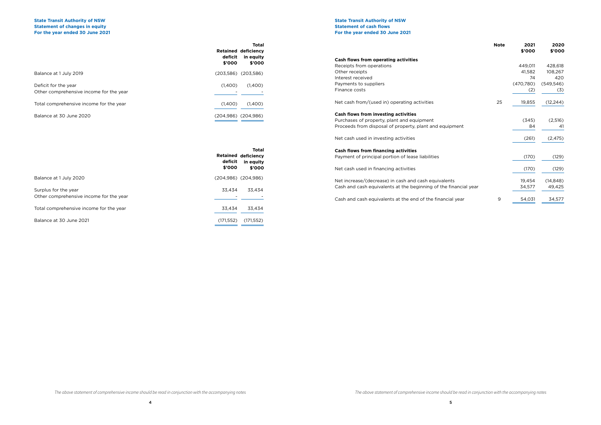# **State Transit Authority of NSW Statement of changes in equity For the year ended 30 June 2021**

|                                                                 | deficit<br>\$'000 | <b>Total</b><br><b>Retained deficiency</b><br>in equity<br>\$'000 |
|-----------------------------------------------------------------|-------------------|-------------------------------------------------------------------|
| Balance at 1 July 2019                                          |                   | $(203,586)$ $(203,586)$                                           |
| Deficit for the year<br>Other comprehensive income for the year | (1,400)           | (1,400)                                                           |
| Total comprehensive income for the year                         | (1,400)           | (1,400)                                                           |
| Balance at 30 June 2020                                         |                   | $(204,986)$ $(204,986)$                                           |

|                     | <b>Total</b><br><b>Retained deficiency</b> |                                                                  | <b>Note</b> | 2021<br>\$'000 | 2020<br>\$'000 |
|---------------------|--------------------------------------------|------------------------------------------------------------------|-------------|----------------|----------------|
| deficit             | in equity                                  | Cash flows from operating activities                             |             |                |                |
| \$'000              | \$'000                                     | Receipts from operations                                         |             | 449,011        | 428,618        |
| 203,586)            | (203,586)                                  | Other receipts                                                   |             | 41,582         | 108,267        |
|                     |                                            | Interest received                                                |             | 74             | 420            |
| (1,400)             | (1,400)                                    | Payments to suppliers                                            |             | (470, 780)     | (549, 546)     |
|                     |                                            | Finance costs                                                    |             | (2)            | (3)            |
| (1,400)             | (1,400)                                    | Net cash from/(used in) operating activities                     | 25          | 19,855         | (12, 244)      |
|                     | 204,986)(204,986)                          | <b>Cash flows from investing activities</b>                      |             |                |                |
|                     |                                            | Purchases of property, plant and equipment                       |             | (345)          | (2,516)        |
|                     |                                            | Proceeds from disposal of property, plant and equipment          |             | 84             | 41             |
|                     |                                            | Net cash used in investing activities                            |             | (261)          | (2, 475)       |
|                     | <b>Total</b>                               | <b>Cash flows from financing activities</b>                      |             |                |                |
| Retained<br>deficit | deficiency<br>in equity                    | Payment of principal portion of lease liabilities                |             | (170)          | (129)          |
| \$'000              | \$'000                                     | Net cash used in financing activities                            |             | (170)          | (129)          |
|                     | 204,986) (204,986)                         | Net increase/(decrease) in cash and cash equivalents             |             | 19,454         | (14, 848)      |
|                     |                                            | Cash and cash equivalents at the beginning of the financial year |             | 34,577         | 49,425         |
| 33,434              | 33,434                                     |                                                                  |             |                |                |
|                     |                                            | Cash and cash equivalents at the end of the financial year       | 9           | 54,031         | 34,577         |
| 33 434              | 33434                                      |                                                                  |             |                |                |

# **State Transit Authority of NSW Statement of cash flows For the year ended 30 June 2021**

|                                                                 | deficit<br>\$'000 | <b>Total</b><br><b>Retained deficiency</b><br>in equity<br>\$'000 |
|-----------------------------------------------------------------|-------------------|-------------------------------------------------------------------|
| Balance at 1 July 2020                                          |                   | (204,986) (204,986)                                               |
| Surplus for the year<br>Other comprehensive income for the year | 33.434            | 33,434                                                            |
| Total comprehensive income for the year                         | 33.434            | 33.434                                                            |
| Balance at 30 June 2021                                         | (171, 552)        | (171, 552)                                                        |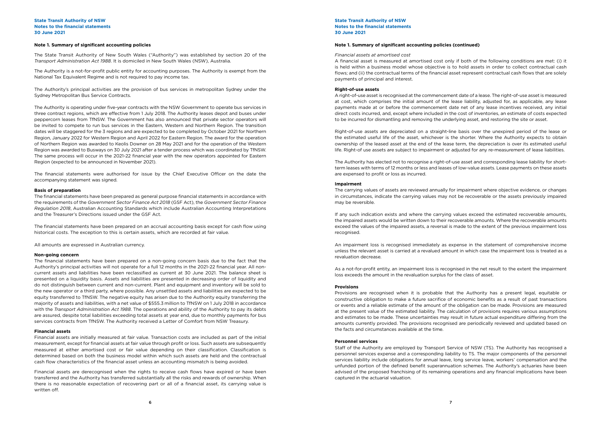# **Note 1. Summary of significant accounting policies**

The State Transit Authority of New South Wales ("Authority") was established by section 20 of the *Transport Administration Act 1988*. It is domiciled in New South Wales (NSW), Australia.

The Authority is a not-for-profit public entity for accounting purposes. The Authority is exempt from the National Tax Equivalent Regime and is not required to pay income tax.

The Authority's principal activities are the provision of bus services in metropolitan Sydney under the Sydney Metropolitan Bus Service Contracts.

The Authority is operating under five-year contracts with the NSW Government to operate bus services in three contract regions, which are effective from 1 July 2018. The Authority leases depot and buses under peppercorn leases from TfNSW. The Government has also announced that private sector operators will be invited to compete to run bus services in the Eastern, Western and Northern Region. The transition dates will be staggered for the 3 regions and are expected to be completed by October 2021 for Northern Region, January 2022 for Western Region and April 2022 for Eastern Region. The award for the operation of Northern Region was awarded to Keolis Downer on 28 May 2021 and for the operation of the Western Region was awarded to Busways on 30 July 2021 after a tender process which was coordinated by TfNSW. The same process will occur in the 2021-22 financial year with the new operators appointed for Eastern Region (expected to be announced in November 2021).

The financial statements were authorised for issue by the Chief Executive Officer on the date the accompanying statement was signed.

# **Basis of preparation**

The financial statements have been prepared as general purpose financial statements in accordance with the requirements of the *Government Sector Finance Act 2018* (GSF Act), the *Government Sector Finance Regulation 2018*, Australian Accounting Standards which include Australian Accounting Interpretations and the Treasurer's Directions issued under the GSF Act.

The financial statements have been prepared on an accrual accounting basis except for cash flow using historical costs. The exception to this is certain assets, which are recorded at fair value.

All amounts are expressed in Australian currency.

# **Non-going concern**

The financial statements have been prepared on a non-going concern basis due to the fact that the Authority's principal activities will not operate for a full 12 months in the 2021-22 financial year. All noncurrent assets and liabilities have been reclassified as current at 30 June 2021. The balance sheet is presented on a liquidity basis. Assets and liabilities are presented in decreasing order of liquidity and do not distinguish between current and non-current. Plant and equipment and inventory will be sold to the new operator or a third party, where possible. Any unsettled assets and liabilities are expected to be equity transferred to TfNSW. The negative equity has arisen due to the Authority equity transferring the majority of assets and liabilities, with a net value of \$555.3 million to TfNSW on 1 July 2018 in accordance with the *Transport Administration Act 1988*. The operations and ability of the Authority to pay its debts are assured, despite total liabilities exceeding total assets at year end, due to monthly payments for bus services contracts from TfNSW. The Authority received a Letter of Comfort from NSW Treasury.

# **Financial assets**

Financial assets are initially measured at fair value. Transaction costs are included as part of the initial measurement, except for financial assets at fair value through profit or loss. Such assets are subsequently measured at either amortised cost or fair value depending on their classification. Classification is determined based on both the business model within which such assets are held and the contractual cash flow characteristics of the financial asset unless an accounting mismatch is being avoided.

Financial assets are derecognised when the rights to receive cash flows have expired or have been transferred and the Authority has transferred substantially all the risks and rewards of ownership. When there is no reasonable expectation of recovering part or all of a financial asset, its carrying value is written off.

# **State Transit Authority of NSW Notes to the financial statements 30 June 2021**

# **Note 1. Summary of significant accounting policies (continued)**

### *Financial assets at amortised cost*

A financial asset is measured at amortised cost only if both of the following conditions are met: (i) it is held within a business model whose objective is to hold assets in order to collect contractual cash flows; and (ii) the contractual terms of the financial asset represent contractual cash flows that are solely payments of principal and interest.

## **Right-of-use assets**

A right-of-use asset is recognised at the commencement date of a lease. The right-of-use asset is measured at cost, which comprises the initial amount of the lease liability, adjusted for, as applicable, any lease payments made at or before the commencement date net of any lease incentives received, any initial direct costs incurred, and, except where included in the cost of inventories, an estimate of costs expected to be incurred for dismantling and removing the underlying asset, and restoring the site or asset.

Right-of-use assets are depreciated on a straight-line basis over the unexpired period of the lease or the estimated useful life of the asset, whichever is the shorter. Where the Authority expects to obtain ownership of the leased asset at the end of the lease term, the depreciation is over its estimated useful life. Right-of use assets are subject to impairment or adjusted for any re-measurement of lease liabilities.

The Authority has elected not to recognise a right-of-use asset and corresponding lease liability for shortterm leases with terms of 12 months or less and leases of low-value assets. Lease payments on these assets are expensed to profit or loss as incurred.

# **Impairment**

The carrying values of assets are reviewed annually for impairment where objective evidence, or changes in circumstances, indicate the carrying values may not be recoverable or the assets previously impaired may be reversible.

If any such indication exists and where the carrying values exceed the estimated recoverable amounts, the impaired assets would be written down to their recoverable amounts. Where the recoverable amounts exceed the values of the impaired assets, a reversal is made to the extent of the previous impairment loss recognised.

An impairment loss is recognised immediately as expense in the statement of comprehensive income unless the relevant asset is carried at a revalued amount in which case the impairment loss is treated as a revaluation decrease.

As a not-for-profit entity, an impairment loss is recognised in the net result to the extent the impairment loss exceeds the amount in the revaluation surplus for the class of asset.

# **Provisions**

Provisions are recognised when it is probable that the Authority has a present legal, equitable or constructive obligation to make a future sacrifice of economic benefits as a result of past transactions or events and a reliable estimate of the amount of the obligation can be made. Provisions are measured at the present value of the estimated liability. The calculation of provisions requires various assumptions and estimates to be made. These uncertainties may result in future actual expenditure differing from the amounts currently provided. The provisions recognised are periodically reviewed and updated based on the facts and circumstances available at the time.

### **Personnel services**

Staff of the Authority are employed by Transport Service of NSW (TS). The Authority has recognised a personnel services expense and a corresponding liability to TS. The major components of the personnel services liability include obligations for annual leave, long service leave, workers' compensation and the unfunded portion of the defined benefit superannuation schemes. The Authority's actuaries have been advised of the proposed franchising of its remaining operations and any financial implications have been captured in the actuarial valuation.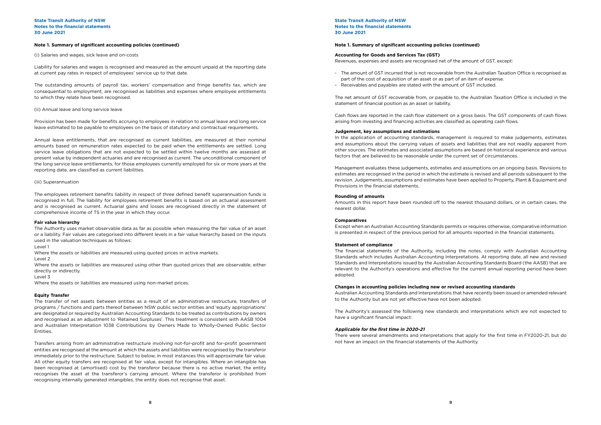# **Note 1. Summary of significant accounting policies (continued)**

(i) Salaries and wages, sick leave and on-costs

Liability for salaries and wages is recognised and measured as the amount unpaid at the reporting date at current pay rates in respect of employees' service up to that date.

The outstanding amounts of payroll tax, workers' compensation and fringe benefits tax, which are consequential to employment, are recognised as liabilities and expenses where employee entitlements to which they relate have been recognised.

# (ii) Annual leave and long service leave

Provision has been made for benefits accruing to employees in relation to annual leave and long service leave estimated to be payable to employees on the basis of statutory and contractual requirements.

Annual leave entitlements, that are recognised as current liabilities, are measured at their nominal amounts based on remuneration rates expected to be paid when the entitlements are settled. Long service leave obligations that are not expected to be settled within twelve months are assessed at present value by independent actuaries and are recognised as current. The unconditional component of the long service leave entitlements, for those employees currently employed for six or more years at the reporting date, are classified as current liabilities.

# (iii) Superannuation

The employees retirement benefits liability in respect of three defined benefit superannuation funds is recognised in full. The liability for employees retirement benefits is based on an actuarial assessment and is recognised as current. Actuarial gains and losses are recognised directly in the statement of comprehensive income of TS in the year in which they occur.

# **Fair value hierarchy**

The Authority uses market observable data as far as possible when measuring the fair value of an asset or a liability. Fair values are categorised into different levels in a fair value hierarchy based on the inputs used in the valuation techniques as follows:

# Level 1

Where the assets or liabilities are measured using quoted prices in active markets.

#### Level 2

Where the assets or liabilities are measured using other than quoted prices that are observable, either directly or indirectly.

## Level 3

Where the assets or liabilities are measured using non-market prices.

# **Equity Transfer**

The transfer of net assets between entities as a result of an administrative restructure, transfers of programs / functions and parts thereof between NSW public sector entities and 'equity appropriations' are designated or required by Australian Accounting Standards to be treated as contributions by owners and recognised as an adjustment to 'Retained Surpluses'. This treatment is consistent with AASB 1004 and Australian Interpretation 1038 Contributions by Owners Made to Wholly-Owned Public Sector Entities.

Transfers arising from an administrative restructure involving not-for-profit and for-profit government entities are recognised at the amount at which the assets and liabilities were recognised by the transferor immediately prior to the restructure. Subject to below, in most instances this will approximate fair value. All other equity transfers are recognised at fair value, except for intangibles. Where an intangible has been recognised at (amortised) cost by the transferor because there is no active market, the entity recognises the asset at the transferor's carrying amount. Where the transferor is prohibited from recognising internally generated intangibles, the entity does not recognise that asset.

**State Transit Authority of NSW Notes to the financial statements 30 June 2021**

## **Note 1. Summary of significant accounting policies (continued)**

# **Accounting for Goods and Services Tax (GST)**

Revenues, expenses and assets are recognised net of the amount of GST, except:

- The amount of GST incurred that is not recoverable from the Australian Taxation Office is recognised as

- part of the cost of acquisition of an asset or as part of an item of expense.
- Receivables and payables are stated with the amount of GST included.

The net amount of GST recoverable from, or payable to, the Australian Taxation Office is included in the statement of financial position as an asset or liability.

Cash flows are reported in the cash flow statement on a gross basis. The GST components of cash flows arising from investing and financing activities are classified as operating cash flows.

# **Judgement, key assumptions and estimations**

In the application of accounting standards, management is required to make judgements, estimates and assumptions about the carrying values of assets and liabilities that are not readily apparent from other sources. The estimates and associated assumptions are based on historical experience and various factors that are believed to be reasonable under the current set of circumstances.

Management evaluates these judgements, estimates and assumptions on an ongoing basis. Revisions to estimates are recognised in the period in which the estimate is revised and all periods subsequent to the revision. Judgements, assumptions and estimates have been applied to Property, Plant & Equipment and Provisions in the financial statements.

# **Rounding of amounts**

Amounts in this report have been rounded off to the nearest thousand dollars, or in certain cases, the nearest dollar.

## **Comparatives**

Except when an Australian Accounting Standards permits or requires otherwise, comparative information is presented in respect of the previous period for all amounts reported in the financial statements.

# **Statement of compliance**

The financial statements of the Authority, including the notes, comply with Australian Accounting Standards which includes Australian Accounting Interpretations. At reporting date, all new and revised Standards and Interpretations issued by the Australian Accounting Standards Board (the AASB) that are relevant to the Authority's operations and effective for the current annual reporting period have been adopted.

# **Changes in accounting policies including new or revised accounting standards**

Australian Accounting Standards and Interpretations that have recently been issued or amended relevant to the Authority but are not yet effective have not been adopted.

The Authority's assessed the following new standards and interpretations which are not expected to have a significant financial impact:

# **Applicable for the first time in 2020-21**

There were several amendments and interpretations that apply for the first time in FY2020-21, but do not have an impact on the financial statements of the Authority.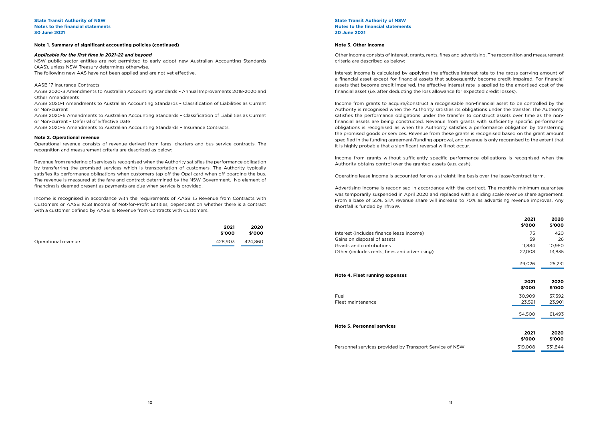# **Note 1. Summary of significant accounting policies (continued)**

# *Applicable for the first time in 2021-22 and beyond*

NSW public sector entities are not permitted to early adopt new Australian Accounting Standards (AAS), unless NSW Treasury determines otherwise. The following new AAS have not been applied and are not yet effective.

# AASB 17 Insurance Contracts

AASB 2020-3 Amendments to Australian Accounting Standards – Annual Improvements 2018-2020 and Other Amendments

AASB 2020-1 Amendments to Australian Accounting Standards – Classification of Liabilities as Current or Non-current

AASB 2020-6 Amendments to Australian Accounting Standards – Classification of Liabilities as Current or Non-current – Deferral of Effective Date

AASB 2020-5 Amendments to Australian Accounting Standards – Insurance Contracts.

# **Note 2. Operational revenue**

Operational revenue consists of revenue derived from fares, charters and bus service contracts. The recognition and measurement criteria are described as below:

Revenue from rendering of services is recognised when the Authority satisfies the performance obligation by transferring the promised services which is transportation of customers. The Authority typically satisfies its performance obligations when customers tap off the Opal card when off boarding the bus. The revenue is measured at the fare and contract determined by the NSW Government. No element of financing is deemed present as payments are due when service is provided.

Income is recognised in accordance with the requirements of AASB 15 Revenue from Contracts with Customers or AASB 1058 Income of Not-for-Profit Entities, dependent on whether there is a contract with a customer defined by AASB 15 Revenue from Contracts with Customers.

|                     | 2021<br>\$'000 | 2020<br>\$'000 |
|---------------------|----------------|----------------|
| Operational revenue | 428.903        | 424.860        |

**State Transit Authority of NSW Notes to the financial statements 30 June 2021**

# **Note 3. Other income**

Other income consists of interest, grants, rents, fines and advertising. The recognition and measurement criteria are described as below:

Interest income is calculated by applying the effective interest rate to the gross carrying amount of a financial asset except for financial assets that subsequently become credit-impaired. For financial assets that become credit impaired, the effective interest rate is applied to the amortised cost of the financial asset (i.e. after deducting the loss allowance for expected credit losses).

Income from grants to acquire/construct a recognisable non-financial asset to be controlled by the Authority is recognised when the Authority satisfies its obligations under the transfer. The Authority satisfies the performance obligations under the transfer to construct assets over time as the nonfinancial assets are being constructed. Revenue from grants with sufficiently specific performance obligations is recognised as when the Authority satisfies a performance obligation by transferring the promised goods or services. Revenue from these grants is recognised based on the grant amount specified in the funding agreement/funding approval, and revenue is only recognised to the extent that it is highly probable that a significant reversal will not occur.

Income from grants without sufficiently specific performance obligations is recognised when the Authority obtains control over the granted assets (e.g. cash).

Operating lease income is accounted for on a straight-line basis over the lease/contract term.

Advertising income is recognised in accordance with the contract. The monthly minimum guarantee was temporarily suspended in April 2020 and replaced with a sliding scale revenue share agreement. From a base of 55%, STA revenue share will increase to 70% as advertising revenue improves. Any shortfall is funded by TfNSW.

|                                                         | 2021<br>\$'000 | 2020<br>\$'000 |
|---------------------------------------------------------|----------------|----------------|
| Interest (includes finance lease income)                | 75             | 420            |
| Gains on disposal of assets                             | 59             | 26             |
| Grants and contributions                                | 11,884         | 10,950         |
| Other (includes rents, fines and advertising)           | 27,008         | 13,835         |
|                                                         | 39,026         | 25,231         |
| Note 4. Fleet running expenses                          |                |                |
|                                                         | 2021           | 2020           |
|                                                         | \$'000         | \$'000         |
| Fuel                                                    | 30,909         | 37,592         |
| Fleet maintenance                                       | 23,591         | 23,901         |
|                                                         | 54,500         | 61,493         |
| <b>Note 5. Personnel services</b>                       |                |                |
|                                                         | 2021           | 2020           |
|                                                         | \$'000         | \$'000         |
| Personnel services provided by Transport Service of NSW | 319,008        | 331,844        |
|                                                         |                |                |

# **Note 4. Fleet running expenses**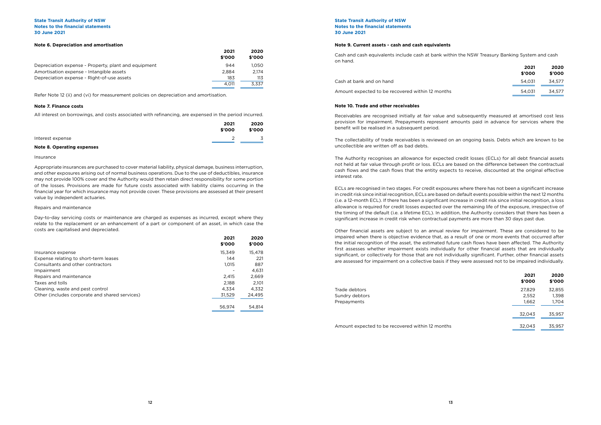|                                                      | 2021   | 2020   |
|------------------------------------------------------|--------|--------|
|                                                      | \$'000 | \$'000 |
| Depreciation expense - Property, plant and equipment | 944    | 1.050  |
| Amortisation expense - Intangible assets             | 2.884  | 2.174  |
| Depreciation expense - Right-of-use assets           | 183    | 113    |
|                                                      | 4.011  | 3.337  |

# **Note 6. Depreciation and amortisation**

Refer Note 12 (ii) and (vi) for measurement policies on depreciation and amortisation.

# **Note 7. Finance costs**

All interest on borrowings, and costs associated with refinancing, are expensed in the period incurred.

| 2021             | 2020   |
|------------------|--------|
| \$'000           | \$'000 |
| Interest expense | 3      |

# **Note 8. Operating expenses**

# Insurance

Appropriate insurances are purchased to cover material liability, physical damage, business interruption, and other exposures arising out of normal business operations. Due to the use of deductibles, insurance may not provide 100% cover and the Authority would then retain direct responsibility for some portion of the losses. Provisions are made for future costs associated with liability claims occurring in the financial year for which insurance may not provide cover. These provisions are assessed at their present value by independent actuaries.

# Repairs and maintenance

Day-to-day servicing costs or maintenance are charged as expenses as incurred, except where they relate to the replacement or an enhancement of a part or component of an asset, in which case the costs are capitalised and depreciated.

|                                                | 2021<br>\$'000 | 2020<br>\$'000 |
|------------------------------------------------|----------------|----------------|
| Insurance expense                              | 15.349         | 15,478         |
| Expense relating to short-term leases          | 144            | 221            |
| Consultants and other contractors              | 1,015          | 887            |
| Impairment                                     |                | 4,631          |
| Repairs and maintenance                        | 2.415          | 2,669          |
| Taxes and tolls                                | 2,188          | 2.101          |
| Cleaning, waste and pest control               | 4.334          | 4.332          |
| Other (includes corporate and shared services) | 31,529         | 24,495         |
|                                                | 56.974         | 54.814         |

# **State Transit Authority of NSW Notes to the financial statements 30 June 2021**

# **Note 9. Current assets - cash and cash equivalents**

Cash and cash equivalents include cash at bank within the NSW Treasury Banking System and cash on hand.

Cash at bank and on hand

Amount expected to be recovered within 12 months

| 2021<br>\$'000 | 2020<br>\$'000 |
|----------------|----------------|
| 54,031         | 34.577         |
| 54.031         | 34.577         |

# **Note 10. Trade and other receivables**

Receivables are recognised initially at fair value and subsequently measured at amortised cost less provision for impairment. Prepayments represent amounts paid in advance for services where the benefit will be realised in a subsequent period.

The collectability of trade receivables is reviewed on an ongoing basis. Debts which are known to be uncollectible are written off as bad debts.

The Authority recognises an allowance for expected credit losses (ECLs) for all debt financial assets not held at fair value through profit or loss. ECLs are based on the difference between the contractual cash flows and the cash flows that the entity expects to receive, discounted at the original effective interest rate.

ECLs are recognised in two stages. For credit exposures where there has not been a significant increase in credit risk since initial recognition, ECLs are based on default events possible within the next 12 months (i.e. a 12-month ECL). If there has been a significant increase in credit risk since initial recognition, a loss allowance is required for credit losses expected over the remaining life of the exposure, irrespective of the timing of the default (i.e. a lifetime ECL). In addition, the Authority considers that there has been a significant increase in credit risk when contractual payments are more than 30 days past due.

Other financial assets are subject to an annual review for impairment. These are considered to be impaired when there is objective evidence that, as a result of one or more events that occurred after the initial recognition of the asset, the estimated future cash flows have been affected. The Authority first assesses whether impairment exists individually for other financial assets that are individually significant, or collectively for those that are not individually significant. Further, other financial assets are assessed for impairment on a collective basis if they were assessed not to be impaired individually.

Trade debtors Sundry debtors Prepayments

Amount expected to be recovered within 12 months

| 2021<br>\$'000 | 2020<br>\$'000 |
|----------------|----------------|
| 27.829         | 32.855         |
| 2.552          | 1.398          |
| 1,662          | 1.704          |
| 32.043         | 35,957         |
| 32.043         | 35,957         |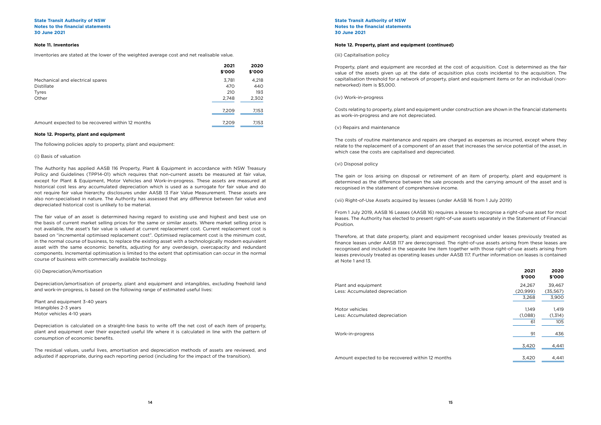# **Note 12. Property, plant and equipment (continued)**

(iii) Capitalisation policy

Property, plant and equipment are recorded at the cost of acquisition. Cost is determined as the fair value of the assets given up at the date of acquisition plus costs incidental to the acquisition. The capitalisation threshold for a network of property, plant and equipment items or for an individual (nonnetworked) item is \$5,000.

(iv) Work-in-progress

Costs relating to property, plant and equipment under construction are shown in the financial statements as work-in-progress and are not depreciated.

(v) Repairs and maintenance

The costs of routine maintenance and repairs are charged as expenses as incurred, except where they relate to the replacement of a component of an asset that increases the service potential of the asset, in which case the costs are capitalised and depreciated.

(vi) Disposal policy

The gain or loss arising on disposal or retirement of an item of property, plant and equipment is determined as the difference between the sale proceeds and the carrying amount of the asset and is recognised in the statement of comprehensive income.

(vii) Right-of-Use Assets acquired by lessees (under AASB 16 from 1 July 2019)

From 1 July 2019, AASB 16 Leases (AASB 16) requires a lessee to recognise a right-of-use asset for most leases. The Authority has elected to present right-of-use assets separately in the Statement of Financial Position.

Therefore, at that date property, plant and equipment recognised under leases previously treated as finance leases under AASB 117 are derecognised. The right-of-use assets arising from these leases are recognised and included in the separate line item together with those right-of-use assets arising from leases previously treated as operating leases under AASB 117. Further information on leases is contained at Note 1 and 13.

Plant and equipment Less: Accumulated depreciation

Motor vehicles Less: Accumulated depreciation

Work-in-progress

Amount expected to be recovered within 12 months

|                                                  | 2021<br>\$'000 | 2020<br>\$'000 |
|--------------------------------------------------|----------------|----------------|
| Mechanical and electrical spares                 | 3,781          | 4,218          |
| Distillate                                       | 470            | 440            |
| <b>Tyres</b>                                     | 210            | 193            |
| Other                                            | 2,748          | 2,302          |
|                                                  | 7,209          | 7,153          |
| Amount expected to be recovered within 12 months | 7.209          | 7,153          |

# **Note 11. Inventories**

Inventories are stated at the lower of the weighted average cost and net realisable value.

# **State Transit Authority of NSW Notes to the financial statements 30 June 2021**

# **State Transit Authority of NSW Notes to the financial statements 30 June 2021**

# **Note 12. Property, plant and equipment**

The following policies apply to property, plant and equipment:

# (i) Basis of valuation

The Authority has applied AASB 116 Property, Plant & Equipment in accordance with NSW Treasury Policy and Guidelines (TPP14-01) which requires that non-current assets be measured at fair value, except for Plant & Equipment, Motor Vehicles and Work-in-progress. These assets are measured at historical cost less any accumulated depreciation which is used as a surrogate for fair value and do not require fair value hierarchy disclosures under AASB 13 Fair Value Measurement. These assets are also non-specialised in nature. The Authority has assessed that any difference between fair value and depreciated historical cost is unlikely to be material.

The fair value of an asset is determined having regard to existing use and highest and best use on the basis of current market selling prices for the same or similar assets. Where market selling price is not available, the asset's fair value is valued at current replacement cost. Current replacement cost is based on "incremental optimised replacement cost". Optimised replacement cost is the minimum cost, in the normal course of business, to replace the existing asset with a technologically modern equivalent asset with the same economic benefits, adjusting for any overdesign, overcapacity and redundant components. Incremental optimisation is limited to the extent that optimisation can occur in the normal course of business with commercially available technology.

# (ii) Depreciation/Amortisation

Depreciation/amortisation of property, plant and equipment and intangibles, excluding freehold land and work-in-progress, is based on the following range of estimated useful lives:

Plant and equipment 3-40 years Intangibles 2-3 years Motor vehicles 4-10 years

Depreciation is calculated on a straight-line basis to write off the net cost of each item of property, plant and equipment over their expected useful life where it is calculated in line with the pattern of consumption of economic benefits.

The residual values, useful lives, amortisation and depreciation methods of assets are reviewed, and adjusted if appropriate, during each reporting period (including for the impact of the transition).

| 2021<br>\$'000 | 2020<br>\$'000 |
|----------------|----------------|
| 24,267         | 39.467         |
| (20,999)       | (35,567)       |
| 3,268          | 3,900          |
|                |                |
| 1,149          | 1,419          |
| (1,088)        | (1.314)        |
| 61             | 105            |
| 91             | 436            |
| 3,420          | 4,441          |
| 3.420          | 4.441          |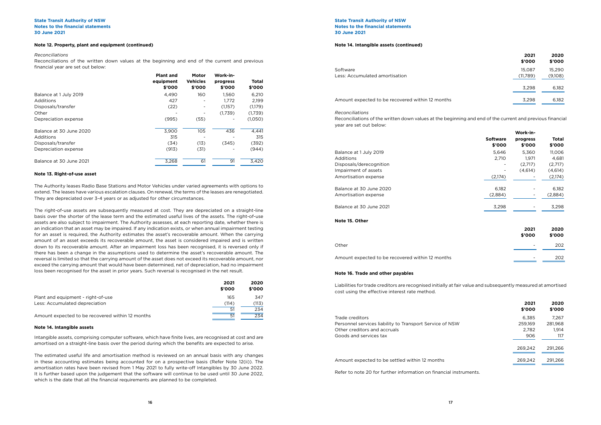# **Note 12. Property, plant and equipment (continued)**

# *Reconciliations*

Reconciliations of the written down values at the beginning and end of the current and previous financial year are set out below:

|                         | <b>Plant and</b><br>equipment<br>\$'000 | Motor<br><b>Vehicles</b><br>\$'000 | Work-in-<br>progress<br>\$'000 | Total<br>\$'000 |
|-------------------------|-----------------------------------------|------------------------------------|--------------------------------|-----------------|
| Balance at 1 July 2019  | 4,490                                   | 160                                | 1,560                          | 6,210           |
| Additions               | 427                                     |                                    | 1.772                          | 2.199           |
| Disposals/transfer      | (22)                                    |                                    | (1,157)                        | (1,179)         |
| Other                   |                                         |                                    | (1,739)                        | (1,739)         |
| Depreciation expense    | (995)                                   | (55)                               |                                | (1,050)         |
| Balance at 30 June 2020 | 3.900                                   | 105                                | 436                            | 4,441           |
| Additions               | 315                                     |                                    |                                | 315             |
| Disposals/transfer      | (34)                                    | (13)                               | (345)                          | (392)           |
| Depreciation expense    | (913)                                   | (31)                               |                                | (944)           |
| Balance at 30 June 2021 | 3,268                                   | 61                                 | 91                             | 3,420           |

# **Note 13. Right-of-use asset**

The Authority leases Radio Base Stations and Motor Vehicles under varied agreements with options to extend. The leases have various escalation clauses. On renewal, the terms of the leases are renegotiated. They are depreciated over 3-4 years or as adjusted for other circumstances.

The right-of-use assets are subsequently measured at cost. They are depreciated on a straight-line basis over the shorter of the lease term and the estimated useful lives of the assets. The right-of-use assets are also subject to impairment. The Authority assesses, at each reporting date, whether there is an indication that an asset may be impaired. If any indication exists, or when annual impairment testing for an asset is required, the Authority estimates the asset's recoverable amount. When the carrying amount of an asset exceeds its recoverable amount, the asset is considered impaired and is written down to its recoverable amount. After an impairment loss has been recognised, it is reversed only if there has been a change in the assumptions used to determine the asset's recoverable amount. The reversal is limited so that the carrying amount of the asset does not exceed its recoverable amount, nor exceed the carrying amount that would have been determined, net of depreciation, had no impairment loss been recognised for the asset in prior years. Such reversal is recognised in the net result.

**State Transit Authority of NSW Notes to the financial statements 30 June 2021**

|                                                  | 2021            | 2020   |
|--------------------------------------------------|-----------------|--------|
|                                                  | \$'000          | \$'000 |
| Plant and equipment - right-of-use               | 165             | 347    |
| Less: Accumulated depreciation                   | (114)           | (113)  |
|                                                  | .51             | 234    |
| Amount expected to be recovered within 12 months | $\overline{51}$ | 234    |

## **Note 14. Intangible assets**

Intangible assets, comprising computer software, which have finite lives, are recognised at cost and are amortised on a straight-line basis over the period during which the benefits are expected to arise.

The estimated useful life and amortisation method is reviewed on an annual basis with any changes in these accounting estimates being accounted for on a prospective basis (Refer Note 12(ii)). The amortisation rates have been revised from 1 May 2021 to fully write-off Intangibles by 30 June 2022. It is further based upon the judgement that the software will continue to be used until 30 June 2022, which is the date that all the financial requirements are planned to be completed.

| Software                       | 15.087   | 15.290  |
|--------------------------------|----------|---------|
| Less: Accumulated amortisation | (11.789) | (9.108) |

Amount expected to be recovered within 12 months

| 2021     | 2020    |
|----------|---------|
| \$'000   | \$'000  |
| 15.087   | 15,290  |
| (11,789) | (9,108) |
| 3.298    | 6.182   |
| 3,298    | 6,182   |

# **Note 14. Intangible assets (continued)**

*Reconciliations* Reconciliations of the written down values at the beginning and end of the current and previous financial year are set out below:

|                                                  |                           | Work-in-           |                        |
|--------------------------------------------------|---------------------------|--------------------|------------------------|
|                                                  | <b>Software</b><br>\$'000 | progress<br>\$'000 | <b>Total</b><br>\$'000 |
| Balance at 1 July 2019                           | 5,646                     | 5,360              | 11,006                 |
| <b>Additions</b>                                 | 2,710                     | 1,971              | 4,681                  |
| Disposals/derecognition                          |                           | (2,717)            | (2,717)                |
| Impairment of assets                             |                           | (4,614)            | (4,614)                |
| Amortisation expense                             | (2,174)                   |                    | (2,174)                |
| Balance at 30 June 2020                          | 6,182                     |                    | 6,182                  |
| Amortisation expense                             | (2,884)                   |                    | (2,884)                |
| Balance at 30 June 2021                          | 3,298                     |                    | 3,298                  |
| Note 15. Other                                   |                           |                    |                        |
|                                                  |                           | 2021               | 2020                   |
|                                                  |                           | \$'000             | \$'000                 |
| Other                                            |                           |                    | 202                    |
| Amount expected to be recovered within 12 months |                           |                    | 202                    |

|    | 2021<br>\$'000 | 2020<br>\$'000 |
|----|----------------|----------------|
|    | 6,385          | 7,267          |
| 5W | 259,169        | 281,968        |
|    | 2,782          | 1,914          |
|    | 906            | 117            |
|    | 269,242        | 291,266        |
|    | 269,242        | 291,266        |
|    |                |                |

Refer to note 20 for further information on financial instruments.

# **Note 16. Trade and other payables**

Liabilities for trade creditors are recognised initially at fair value and subsequently measured at amortised cost using the effective interest rate method.

Trade creditors Personnel services liability to Transport Service of NS Other creditors and accruals Goods and services tax

Amount expected to be settled within 12 months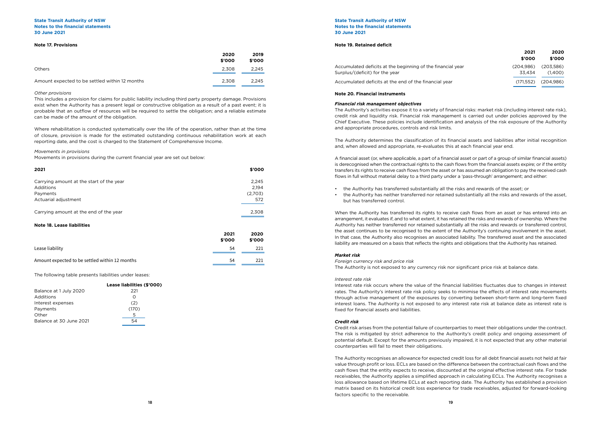# **State Transit Authority of NSW Notes to the financial statements 30 June 2021**

# **Note 17. Provisions**

| 2021                                     | \$'000  |
|------------------------------------------|---------|
| Carrying amount at the start of the year | 2,245   |
| Additions                                | 2.194   |
| Payments                                 | (2,703) |
| Actuarial adjustment                     | 572     |
| Carrying amount at the end of the year   | 2,308   |

# **Note 18. Lease liabilities**

|                                                | 2021<br>\$'000 | 2020<br>\$'000 |
|------------------------------------------------|----------------|----------------|
| Lease liability                                | 54             | 221            |
| Amount expected to be settled within 12 months | 54             | 221            |

|                                                | 2020<br>\$'000 | 2019<br>\$'000 |
|------------------------------------------------|----------------|----------------|
| <b>Others</b>                                  | 2,308          | 2,245          |
| Amount expected to be settled within 12 months | 2.308          | 2.245          |

# *Other provisions*

This includes a provision for claims for public liability including third party property damage. Provisions exist when the Authority has a present legal or constructive obligation as a result of a past event; it is probable that an outflow of resources will be required to settle the obligation; and a reliable estimate can be made of the amount of the obligation.

Where rehabilitation is conducted systematically over the life of the operation, rather than at the time of closure, provision is made for the estimated outstanding continuous rehabilitation work at each reporting date, and the cost is charged to the Statement of Comprehensive Income.

# *Movements in provisions*

Movements in provisions during the current financial year are set out below:

The following table presents liabilities under leases:

|                         | Lease liabilities (\$'000) |
|-------------------------|----------------------------|
| Balance at 1 July 2020  | 221                        |
| Additions               | O)                         |
| Interest expenses       | (2)                        |
| Payments                | (170)                      |
| Other                   | 5                          |
| Balance at 30 June 2021 | 54                         |
|                         |                            |

# **Note 19. Retained deficit**

Accumulated deficits at the beginning of the financial Surplus/(deficit) for the year

Accumulated deficits at the end of the financial year

|      | 2021<br>\$'000      | 2020<br>\$'000          |
|------|---------------------|-------------------------|
| vear | (204.986)<br>33.434 | (203,586)<br>(1,400)    |
|      |                     | $(171,552)$ $(204,986)$ |

# **Note 20. Financial instruments**

# *Financial risk management objectives*

The Authority's activities expose it to a variety of financial risks: market risk (including interest rate risk), credit risk and liquidity risk. Financial risk management is carried out under policies approved by the Chief Executive. These policies include identification and analysis of the risk exposure of the Authority and appropriate procedures, controls and risk limits.

The Authority determines the classification of its financial assets and liabilities after initial recognition and, when allowed and appropriate, re-evaluates this at each financial year end.

A financial asset (or, where applicable, a part of a financial asset or part of a group of similar financial assets) is derecognised when the contractual rights to the cash flows from the financial assets expire; or if the entity transfers its rights to receive cash flows from the asset or has assumed an obligation to pay the received cash flows in full without material delay to a third party under a 'pass-through' arrangement; and either:

- the Authority has transferred substantially all the risks and rewards of the asset; or
- the Authority has neither transferred nor retained substantially all the risks and rewards of the asset, but has transferred control.

When the Authority has transferred its rights to receive cash flows from an asset or has entered into an arrangement, it evaluates if, and to what extent, it has retained the risks and rewards of ownership. Where the Authority has neither transferred nor retained substantially all the risks and rewards or transferred control, the asset continues to be recognised to the extent of the Authority's continuing involvement in the asset. In that case, the Authority also recognises an associated liability. The transferred asset and the associated liability are measured on a basis that reflects the rights and obligations that the Authority has retained.

# *Market risk*

*Foreign currency risk and price risk* The Authority is not exposed to any currency risk nor significant price risk at balance date.

# *Interest rate risk*

Interest rate risk occurs where the value of the financial liabilities fluctuates due to changes in interest rates. The Authority's interest rate risk policy seeks to minimise the effects of interest rate movements through active management of the exposures by converting between short-term and long-term fixed interest loans. The Authority is not exposed to any interest rate risk at balance date as interest rate is fixed for financial assets and liabilities.

# *Credit risk*

Credit risk arises from the potential failure of counterparties to meet their obligations under the contract. The risk is mitigated by strict adherence to the Authority's credit policy and ongoing assessment of potential default. Except for the amounts previously impaired, it is not expected that any other material counterparties will fail to meet their obligations.

The Authority recognises an allowance for expected credit loss for all debt financial assets not held at fair value through profit or loss. ECLs are based on the difference between the contractual cash flows and the cash flows that the entity expects to receive, discounted at the original effective interest rate. For trade receivables, the Authority applies a simplified approach in calculating ECLs. The Authority recognises a loss allowance based on lifetime ECLs at each reporting date. The Authority has established a provision matrix based on its historical credit loss experience for trade receivables, adjusted for forward-looking factors specific to the receivable.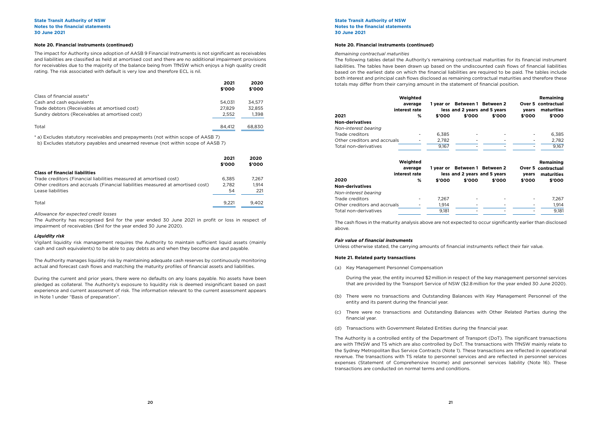|                                                | 2021<br>\$'000 | 2020<br>\$'000 |
|------------------------------------------------|----------------|----------------|
| Class of financial assets*                     |                |                |
| Cash and cash equivalents                      | 54.031         | 34.577         |
| Trade debtors (Receivables at amortised cost)  | 27.829         | 32,855         |
| Sundry debtors (Receivables at amortised cost) | 2.552          | 1,398          |
|                                                |                |                |
| Total                                          | 84.412         | 68.830         |

The impact for Authority since adoption of AASB 9 Financial Instruments is not significant as receivables and liabilities are classified as held at amortised cost and there are no additional impairment provisions for receivables due to the majority of the balance being from TfNSW which enjoys a high quality credit rating. The risk associated with default is very low and therefore ECL is nil.

\* a) Excludes statutory receivables and prepayments (not within scope of AASB 7)

b) Excludes statutory payables and unearned revenue (not within scope of AASB 7)

|                                                                                 | 2021<br>\$'000 | 2020<br>\$'000 |
|---------------------------------------------------------------------------------|----------------|----------------|
| <b>Class of financial liabilities</b>                                           |                |                |
| Trade creditors (Financial liabilities measured at amortised cost)              | 6.385          | 7.267          |
| Other creditors and accruals (Financial liabilities measured at amortised cost) | 2.782          | 1.914          |
| Lease liabilities                                                               | 54             | 221            |
| Total                                                                           | 9.221          | 9.402          |

## *Allowance for expected credit losses*

The Authority has recognised \$nil for the year ended 30 June 2021 in profit or loss in respect of impairment of receivables (\$nil for the year ended 30 June 2020).

### *Liquidity risk*

Vigilant liquidity risk management requires the Authority to maintain sufficient liquid assets (mainly cash and cash equivalents) to be able to pay debts as and when they become due and payable.

The Authority manages liquidity risk by maintaining adequate cash reserves by continuously monitoring actual and forecast cash flows and matching the maturity profiles of financial assets and liabilities.

During the current and prior years, there were no defaults on any loans payable. No assets have been pledged as collateral. The Authority's exposure to liquidity risk is deemed insignificant based on past experience and current assessment of risk. The information relevant to the current assessment appears in Note 1 under "Basis of preparation".

# **Note 20. Financial instruments (continued)**

# *Remaining contractual maturities*

The following tables detail the Authority's remaining contractual maturities for its financial instrument liabilities. The tables have been drawn up based on the undiscounted cash flows of financial liabilities based on the earliest date on which the financial liabilities are required to be paid. The tables include both interest and principal cash flows disclosed as remaining contractual maturities and therefore these totals may differ from their carrying amount in the statement of financial position.

|                              | Weighted      |           |                               |                     |        | Remaining        |
|------------------------------|---------------|-----------|-------------------------------|---------------------|--------|------------------|
|                              | average       |           | 1 year or Between 1 Between 2 |                     | Over 5 | contractual      |
|                              | interest rate |           | less and 2 years and 5 years  |                     | years  | maturities       |
| 2021                         | %             | \$'000    | \$'000                        | \$'000              | \$'000 | \$'000           |
| <b>Non-derivatives</b>       |               |           |                               |                     |        |                  |
| Non-interest bearing         |               |           |                               |                     |        |                  |
| Trade creditors              |               | 6,385     |                               |                     |        | 6,385            |
| Other creditors and accruals |               | 2,782     |                               |                     |        | 2,782            |
| Total non-derivatives        |               | 9,167     |                               |                     |        | 9,167            |
|                              | Weighted      |           |                               |                     |        | <b>Remaining</b> |
|                              | average       | 1 year or |                               | Between 1 Between 2 | Over 5 | contractual      |
|                              | interest rate |           | less and 2 years and 5 years  |                     | years  | maturities       |
| 2020                         | %             | \$'000    | \$'000                        | \$'000              | \$'000 | \$'000           |
| <b>Non-derivatives</b>       |               |           |                               |                     |        |                  |
| Non-interest bearing         |               |           |                               |                     |        |                  |
| Trade creditors              |               | 7,267     |                               |                     |        | 7,267            |
| Other creditors and accruals |               | 1,914     |                               |                     |        | 1,914            |
| Total non-derivatives        |               | 9,181     |                               |                     |        | 9,181            |
|                              |               |           |                               |                     |        |                  |

|                              | Weighted<br>average<br>interest rate | 1 vear or |                              | Between 1 Between 2<br>less and 2 years and 5 years | Over 5<br>years | Remaining<br>contractual<br>maturities  |
|------------------------------|--------------------------------------|-----------|------------------------------|-----------------------------------------------------|-----------------|-----------------------------------------|
| 2021                         | %                                    | \$'000    | \$'000                       | \$'000                                              | \$'000          | \$'000                                  |
| Non-derivatives              |                                      |           |                              |                                                     |                 |                                         |
| Non-interest bearing         |                                      |           |                              |                                                     |                 |                                         |
| Trade creditors              |                                      | 6,385     |                              |                                                     |                 | 6,385                                   |
| Other creditors and accruals |                                      | 2,782     |                              |                                                     |                 | 2,782                                   |
| Total non-derivatives        |                                      | 9,167     |                              |                                                     |                 | 9,167                                   |
|                              | Weighted                             |           |                              |                                                     |                 | <b>Remaining</b>                        |
|                              | average<br>interest rate             | 1 year or | less and 2 years and 5 years | Between 1 Between 2                                 | years           | <b>Over 5 contractual</b><br>maturities |
| 2020                         | %                                    | \$'000    | \$'000                       | \$'000                                              | \$'000          | \$'000                                  |
| Non-derivatives              |                                      |           |                              |                                                     |                 |                                         |
| Non-interest bearing         |                                      |           |                              |                                                     |                 |                                         |
| Trade creditors              |                                      | 7,267     |                              |                                                     |                 | 7,267                                   |
| Other creditors and accruals |                                      | 1,914     |                              |                                                     |                 | 1,914                                   |
| Total non-derivatives        |                                      | 9,181     |                              |                                                     |                 | 9,181                                   |
|                              |                                      |           |                              |                                                     |                 |                                         |

The cash flows in the maturity analysis above are not expected to occur significantly earlier than disclosed above.

# *Fair value of financial instruments*

Unless otherwise stated, the carrying amounts of financial instruments reflect their fair value.

# **Note 20. Financial instruments (continued)**

# **Note 21. Related party transactions**

(a) Key Management Personnel Compensation

During the year, the entity incurred \$2 million in respect of the key management personnel services that are provided by the Transport Service of NSW (\$2.8 million for the year ended 30 June 2020).

(b) There were no transactions and Outstanding Balances with Key Management Personnel of the

(c) There were no transactions and Outstanding Balances with Other Related Parties during the

- entity and its parent during the financial year.
- financial year.
- (d) Transactions with Government Related Entities during the financial year.

The Authority is a controlled entity of the Department of Transport (DoT). The significant transactions are with TfNSW and TS which are also controlled by DoT. The transactions with TfNSW mainly relate to the Sydney Metropolitan Bus Service Contracts (Note 1). These transactions are reflected in operational revenue. The transactions with TS relate to personnel services and are reflected in personnel services expenses (Statement of Comprehensive Income) and personnel services liability (Note 16). These transactions are conducted on normal terms and conditions.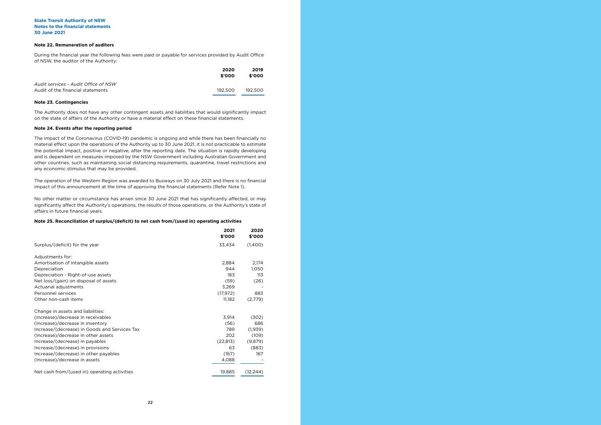# **Note 22. Remuneration of auditors**

During the financial year the following fees were paid or payable for services provided by Audit Office of NSW, the auditor of the Authority:

|                                      | 2020    | 2019    |
|--------------------------------------|---------|---------|
|                                      | \$'000  | \$'000  |
| Audit services - Audit Office of NSW |         |         |
| Audit of the financial statements    | 192.500 | 192.500 |

# **Note 23. Contingencies**

The Authority does not have any other contingent assets and liabilities that would significantly impact on the state of affairs of the Authority or have a material effect on these financial statements.

# **Note 24. Events after the reporting period**

The impact of the Coronavirus (COVID-19) pandemic is ongoing and while there has been financially no material effect upon the operations of the Authority up to 30 June 2021, it is not practicable to estimate the potential impact, positive or negative, after the reporting date. The situation is rapidly developing and is dependent on measures imposed by the NSW Government including Australian Government and other countries, such as maintaining social distancing requirements, quarantine, travel restrictions and any economic stimulus that may be provided.

The operation of the Western Region was awarded to Busways on 30 July 2021 and there is no financial impact of this announcement at the time of approving the financial statements (Refer Note 1).

No other matter or circumstance has arisen since 30 June 2021 that has significantly affected, or may significantly affect the Authority's operations, the results of those operations, or the Authority's state of affairs in future financial years.

# **Note 25. Reconciliation of surplus/(deficit) to net cash from/(used in) operating activities**

|                                               | 2021<br>\$'000 | 2020<br>\$'000 |
|-----------------------------------------------|----------------|----------------|
| Surplus/(deficit) for the year                | 33,434         | (1,400)        |
| Adjustments for:                              |                |                |
| Amortisation of intangible assets             | 2,884          | 2,174          |
| Depreciation                                  | 944            | 1,050          |
| Depreciation - Right-of-use assets            | 183            | 113            |
| Net loss/(gain) on disposal of assets         | (59)           | (26)           |
| Actuarial adjustments                         | 3,269          |                |
| Personnel services                            | (17, 972)      | 883            |
| Other non-cash items                          | 11,182         | (2,779)        |
| Change in assets and liabilities:             |                |                |
| (Increase)/decrease in receivables            | 3,914          | (302)          |
| (Increase)/decrease in inventory              | (56)           | 686            |
| Increase/(decrease) in Goods and Services Tax | 789            | (1,939)        |
| (Increase)/decrease in other assets           | 202            | (109)          |
| Increase/(decrease) in payables               | (22, 813)      | (9,879)        |
| Increase/(decrease) in provisions             | 63             | (883)          |
| Increase/(decrease) in other payables         | (167)          | 167            |
| (Increase)/decrease in assets                 | 4,088          |                |
| Net cash from/(used in) operating activities  | 19,885         | (12, 244)      |